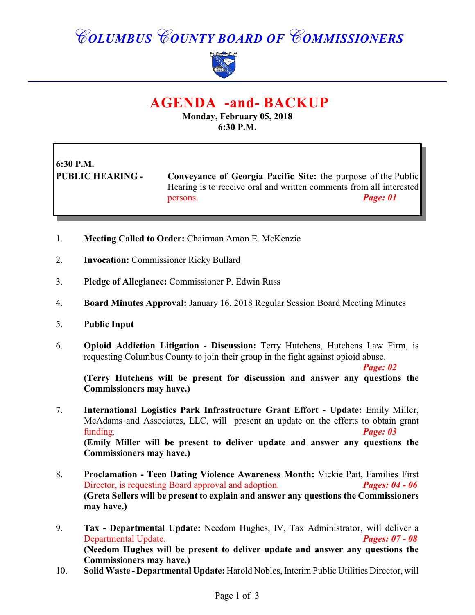## *COLUMBUS COUNTY BOARD OF COMMISSIONERS*



### **AGENDA -and- BACKUP**

**Monday, February 05, 2018 6:30 P.M.**

# **6:30 P.M.**

**PUBLIC HEARING - Conveyance of Georgia Pacific Site:** the purpose of the Public Hearing is to receive oral and written comments from all interested persons. *Page: 01* 

- 1. **Meeting Called to Order:** Chairman Amon E. McKenzie
- 2. **Invocation:** Commissioner Ricky Bullard
- 3. **Pledge of Allegiance:** Commissioner P. Edwin Russ
- 4. **Board Minutes Approval:** January 16, 2018 Regular Session Board Meeting Minutes
- 5. **Public Input**
- 6. **Opioid Addiction Litigation Discussion:** Terry Hutchens, Hutchens Law Firm, is requesting Columbus County to join their group in the fight against opioid abuse.

*Page: 02* 

**(Terry Hutchens will be present for discussion and answer any questions the Commissioners may have.)**

- 7. **International Logistics Park Infrastructure Grant Effort Update:** Emily Miller, McAdams and Associates, LLC, will present an update on the efforts to obtain grant funding. *Page: 03*  **(Emily Miller will be present to deliver update and answer any questions the Commissioners may have.)**
- 8. **Proclamation - Teen Dating Violence Awareness Month:** Vickie Pait, Families First Director, is requesting Board approval and adoption. *Pages: 04 - 06* **(Greta Sellers will be present to explain and answer any questions the Commissioners may have.)**
- 9. **Tax Departmental Update:** Needom Hughes, IV, Tax Administrator, will deliver a Departmental Update. *Pages: 07 - 08* **(Needom Hughes will be present to deliver update and answer any questions the Commissioners may have.)**
- 10. **Solid Waste Departmental Update:** Harold Nobles, Interim Public Utilities Director, will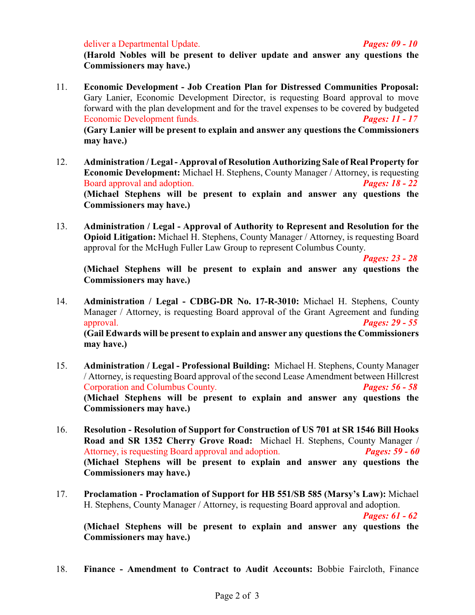deliver a Departmental Update. *Pages: 09 - 10*

**(Harold Nobles will be present to deliver update and answer any questions the Commissioners may have.)**

- 11. **Economic Development Job Creation Plan for Distressed Communities Proposal:** Gary Lanier, Economic Development Director, is requesting Board approval to move forward with the plan development and for the travel expenses to be covered by budgeted Economic Development funds. *Pages: 11 - 17* **(Gary Lanier will be present to explain and answer any questions the Commissioners may have.)**
- 12. **Administration / Legal Approval of Resolution Authorizing Sale of Real Property for Economic Development:** Michael H. Stephens, County Manager / Attorney, is requesting Board approval and adoption. *Pages: 18 - 22* **(Michael Stephens will be present to explain and answer any questions the Commissioners may have.)**
- 13. **Administration / Legal Approval of Authority to Represent and Resolution for the Opioid Litigation:** Michael H. Stephens, County Manager / Attorney, is requesting Board approval for the McHugh Fuller Law Group to represent Columbus County.

*Pages: 23 - 28*

**(Michael Stephens will be present to explain and answer any questions the Commissioners may have.)**

- 14. **Administration / Legal CDBG-DR No. 17-R-3010:** Michael H. Stephens, County Manager / Attorney, is requesting Board approval of the Grant Agreement and funding approval. *Pages: 29 - 55* **(Gail Edwards will be present to explain and answer any questions the Commissioners may have.)**
- 15. **Administration / Legal Professional Building:** Michael H. Stephens, County Manager / Attorney, is requesting Board approval of the second Lease Amendment between Hillcrest Corporation and Columbus County. *Pages: 56 - 58* **(Michael Stephens will be present to explain and answer any questions the Commissioners may have.)**
- 16. **Resolution Resolution of Support for Construction of US 701 at SR 1546 Bill Hooks Road and SR 1352 Cherry Grove Road:** Michael H. Stephens, County Manager / Attorney, is requesting Board approval and adoption. *Pages: 59 - 60* **(Michael Stephens will be present to explain and answer any questions the Commissioners may have.)**
- 17. **Proclamation Proclamation of Support for HB 551/SB 585 (Marsy's Law):** Michael H. Stephens, County Manager / Attorney, is requesting Board approval and adoption.

*Pages: 61 - 62*

**(Michael Stephens will be present to explain and answer any questions the Commissioners may have.)**

18. **Finance - Amendment to Contract to Audit Accounts:** Bobbie Faircloth, Finance